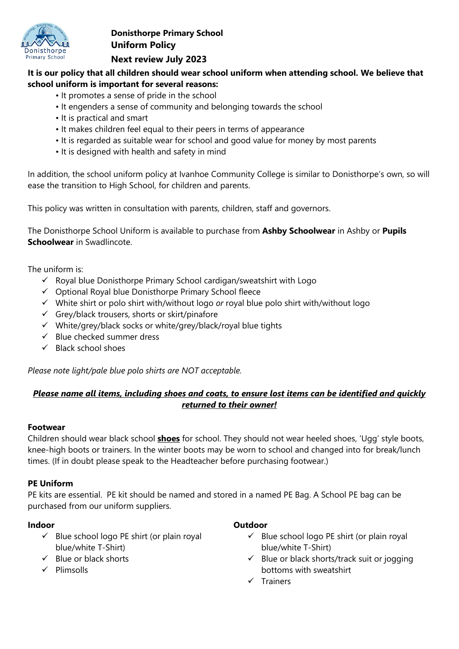

# **Donisthorpe Primary School Uniform Policy Next review July 2023**

### **It is our policy that all children should wear school uniform when attending school. We believe that school uniform is important for several reasons:**

- It promotes a sense of pride in the school
- It engenders a sense of community and belonging towards the school
- It is practical and smart
- It makes children feel equal to their peers in terms of appearance
- It is regarded as suitable wear for school and good value for money by most parents
- It is designed with health and safety in mind

In addition, the school uniform policy at Ivanhoe Community College is similar to Donisthorpe's own, so will ease the transition to High School, for children and parents.

This policy was written in consultation with parents, children, staff and governors.

The Donisthorpe School Uniform is available to purchase from **Ashby Schoolwear** in Ashby or **Pupils Schoolwear** in Swadlincote.

The uniform is:

- $\checkmark$  Royal blue Donisthorpe Primary School cardigan/sweatshirt with Logo
- $\checkmark$  Optional Royal blue Donisthorpe Primary School fleece
- White shirt or polo shirt with/without logo *or* royal blue polo shirt with/without logo
- $\checkmark$  Grey/black trousers, shorts or skirt/pinafore
- $\checkmark$  White/grey/black socks or white/grey/black/royal blue tights
- $\checkmark$  Blue checked summer dress
- $\checkmark$  Black school shoes

*Please note light/pale blue polo shirts are NOT acceptable.*

## *Please name all items, including shoes and coats, to ensure lost items can be identified and quickly returned to their owner!*

### **Footwear**

Children should wear black school **shoes** for school. They should not wear heeled shoes, 'Ugg' style boots, knee-high boots or trainers. In the winter boots may be worn to school and changed into for break/lunch times. (If in doubt please speak to the Headteacher before purchasing footwear.)

## **PE Uniform**

PE kits are essential. PE kit should be named and stored in a named PE Bag. A School PE bag can be purchased from our uniform suppliers.

## **Indoor**

- $\checkmark$  Blue school logo PE shirt (or plain royal blue/white T-Shirt)
- $\checkmark$  Blue or black shorts
- $\checkmark$  Plimsolls
- **Outdoor**
	- $\checkmark$  Blue school logo PE shirt (or plain royal blue/white T-Shirt)
	- $\checkmark$  Blue or black shorts/track suit or jogging bottoms with sweatshirt
	- $\checkmark$  Trainers